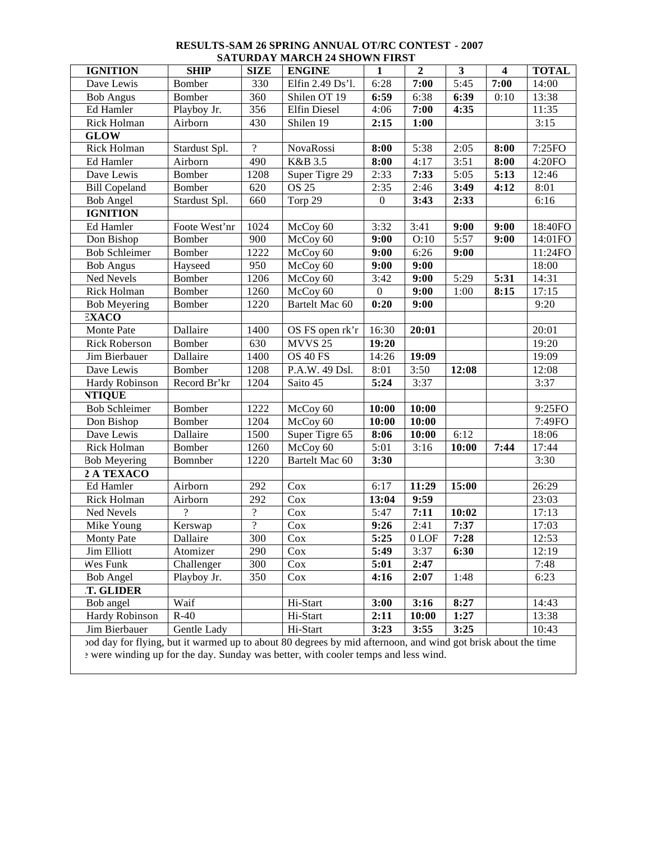|                                                                                    |                                                                                                             |                          | <b>SATURDAT MARCH 24 SHOWN FIRST</b> |                  |                |                         |                         |              |  |  |
|------------------------------------------------------------------------------------|-------------------------------------------------------------------------------------------------------------|--------------------------|--------------------------------------|------------------|----------------|-------------------------|-------------------------|--------------|--|--|
| <b>IGNITION</b>                                                                    | <b>SHIP</b>                                                                                                 | <b>SIZE</b>              | <b>ENGINE</b>                        | $\mathbf{1}$     | $\overline{2}$ | $\overline{\mathbf{3}}$ | $\overline{\mathbf{4}}$ | <b>TOTAL</b> |  |  |
| Dave Lewis                                                                         | Bomber                                                                                                      | 330                      | Elfin 2.49 Ds'l.                     | 6:28             | 7:00           | $\overline{5:}45$       | 7:00                    | 14:00        |  |  |
| <b>Bob Angus</b>                                                                   | Bomber                                                                                                      | 360                      | Shilen OT 19                         | 6:59             | 6:38           | 6:39                    | 0:10                    | 13:38        |  |  |
| Ed Hamler                                                                          | Playboy Jr.                                                                                                 | 356                      | <b>Elfin Diesel</b>                  | 4:06             | 7:00           | 4:35                    |                         | 11:35        |  |  |
| Rick Holman                                                                        | Airborn                                                                                                     | 430                      | Shilen 19                            | 2:15             | 1:00           |                         |                         | 3:15         |  |  |
| <b>GLOW</b>                                                                        |                                                                                                             |                          |                                      |                  |                |                         |                         |              |  |  |
| Rick Holman                                                                        | Stardust Spl.                                                                                               | $\overline{?}$           | NovaRossi                            | 8:00             | 5:38           | 2:05                    | 8:00                    | 7:25FO       |  |  |
| Ed Hamler                                                                          | Airborn                                                                                                     | 490                      | K&B 3.5                              | 8:00             | 4:17           | 3:51                    | 8:00                    | 4:20FO       |  |  |
| Dave Lewis                                                                         | Bomber                                                                                                      | 1208                     | Super Tigre 29                       | 2:33             | 7:33           | 5:05                    | 5:13                    | 12:46        |  |  |
| <b>Bill Copeland</b>                                                               | Bomber                                                                                                      | 620                      | <b>OS 25</b>                         | 2:35             | 2:46           | 3:49                    | 4:12                    | 8:01         |  |  |
| <b>Bob Angel</b>                                                                   | Stardust Spl.                                                                                               | 660                      | Torp 29                              | $\boldsymbol{0}$ | 3:43           | 2:33                    |                         | 6:16         |  |  |
| <b>IGNITION</b>                                                                    |                                                                                                             |                          |                                      |                  |                |                         |                         |              |  |  |
| Ed Hamler                                                                          | Foote West'nr                                                                                               | 1024                     | McCoy 60                             | 3:32             | 3:41           | 9:00                    | 9:00                    | 18:40FO      |  |  |
| Don Bishop                                                                         | Bomber                                                                                                      | 900                      | McCoy 60                             | 9:00             | O:10           | 5:57                    | 9:00                    | 14:01FO      |  |  |
| <b>Bob Schleimer</b>                                                               | Bomber                                                                                                      | 1222                     | McCoy 60                             | 9:00             | 6:26           | 9:00                    |                         | 11:24FO      |  |  |
| <b>Bob Angus</b>                                                                   | Hayseed                                                                                                     | 950                      | McCoy 60                             | 9:00             | 9:00           |                         |                         | 18:00        |  |  |
| Ned Nevels                                                                         | Bomber                                                                                                      | 1206                     | McCoy 60                             | 3:42             | 9:00           | 5:29                    | 5:31                    | 14:31        |  |  |
| Rick Holman                                                                        | Bomber                                                                                                      | 1260                     | McCoy 60                             | $\overline{0}$   | 9:00           | 1:00                    | 8:15                    | 17:15        |  |  |
| <b>Bob Meyering</b>                                                                | Bomber                                                                                                      | 1220                     | Bartelt Mac 60                       | 0:20             | 9:00           |                         |                         | 9:20         |  |  |
| <b>EXACO</b>                                                                       |                                                                                                             |                          |                                      |                  |                |                         |                         |              |  |  |
| Monte Pate                                                                         | Dallaire                                                                                                    | 1400                     | OS FS open rk'r                      | 16:30            | 20:01          |                         |                         | 20:01        |  |  |
| <b>Rick Roberson</b>                                                               | Bomber                                                                                                      | 630                      | MVVS <sub>25</sub>                   | 19:20            |                |                         |                         | 19:20        |  |  |
| Jim Bierbauer                                                                      | Dallaire                                                                                                    | 1400                     | <b>OS 40 FS</b>                      | 14:26            | 19:09          |                         |                         | 19:09        |  |  |
| Dave Lewis                                                                         | <b>Bomber</b>                                                                                               | 1208                     | P.A.W. 49 Dsl.                       | 8:01             | 3:50           | 12:08                   |                         | 12:08        |  |  |
| Hardy Robinson                                                                     | Record Br'kr                                                                                                | 1204                     | Saito 45                             | 5:24             | 3:37           |                         |                         | 3:37         |  |  |
| <b>NTIQUE</b>                                                                      |                                                                                                             |                          |                                      |                  |                |                         |                         |              |  |  |
| <b>Bob Schleimer</b>                                                               | Bomber                                                                                                      | 1222                     | McCoy 60                             | 10:00            | 10:00          |                         |                         | 9:25FO       |  |  |
| Don Bishop                                                                         | Bomber                                                                                                      | 1204                     | McCoy 60                             | 10:00            | 10:00          |                         |                         | 7:49FO       |  |  |
| Dave Lewis                                                                         | Dallaire                                                                                                    | 1500                     | Super Tigre 65                       | 8:06             | 10:00          | 6:12                    |                         | 18:06        |  |  |
| Rick Holman                                                                        | Bomber                                                                                                      | 1260                     | McCoy 60                             | 5:01             | 3:16           | 10:00                   | 7:44                    | 17:44        |  |  |
| <b>Bob Meyering</b>                                                                | Bomnber                                                                                                     | 1220                     | Bartelt Mac 60                       | 3:30             |                |                         |                         | 3:30         |  |  |
| 2 A TEXACO                                                                         |                                                                                                             |                          |                                      |                  |                |                         |                         |              |  |  |
| Ed Hamler                                                                          | Airborn                                                                                                     | 292                      | Cox                                  | 6:17             | 11:29          | 15:00                   |                         | 26:29        |  |  |
| Rick Holman                                                                        | Airborn                                                                                                     | 292                      | Cox                                  | 13:04            | 9:59           |                         |                         | 23:03        |  |  |
| Ned Nevels                                                                         | $\gamma$                                                                                                    | $\overline{\mathcal{L}}$ | Cox                                  | 5:47             | 7:11           | 10:02                   |                         | 17:13        |  |  |
| Mike Young                                                                         | Kerswap                                                                                                     | $\overline{?}$           | Cox                                  | 9:26             | 2:41           | 7:37                    |                         | 17:03        |  |  |
| Monty Pate                                                                         | Dallaire                                                                                                    | 300                      | Cox                                  | 5:25             | $0$ LOF        | $\sqrt{7:28}$           |                         | 12:53        |  |  |
| Jim Elliott                                                                        | Atomizer                                                                                                    | 290                      | Cox                                  | 5:49             | 3:37           | 6:30                    |                         | 12:19        |  |  |
| Wes Funk                                                                           | Challenger                                                                                                  | 300                      | Cox                                  | 5:01             | 2:47           |                         |                         | 7:48         |  |  |
| <b>Bob Angel</b>                                                                   | Playboy Jr.                                                                                                 | 350                      | Cox                                  | 4:16             | 2:07           | 1:48                    |                         | 6:23         |  |  |
| <b>T. GLIDER</b>                                                                   |                                                                                                             |                          |                                      |                  |                |                         |                         |              |  |  |
| Bob angel                                                                          | Waif                                                                                                        |                          | Hi-Start                             | 3:00             | 3:16           | 8:27                    |                         | 14:43        |  |  |
| Hardy Robinson                                                                     | $R-40$                                                                                                      |                          | Hi-Start                             | 2:11             | 10:00          | 1:27                    |                         | 13:38        |  |  |
| Jim Bierbauer                                                                      | Gentle Lady                                                                                                 |                          | Hi-Start                             | 3:23             | 3:55           | 3:25                    |                         | 10:43        |  |  |
|                                                                                    | od day for flying, but it warmed up to about 80 degrees by mid afternoon, and wind got brisk about the time |                          |                                      |                  |                |                         |                         |              |  |  |
| : were winding up for the day. Sunday was better, with cooler temps and less wind. |                                                                                                             |                          |                                      |                  |                |                         |                         |              |  |  |
|                                                                                    |                                                                                                             |                          |                                      |                  |                |                         |                         |              |  |  |

## **RESULTS-SAM 26 SPRING ANNUAL OT/RC CONTEST - 2007 SATURDAY MARCH 24 SHOWN FIRST**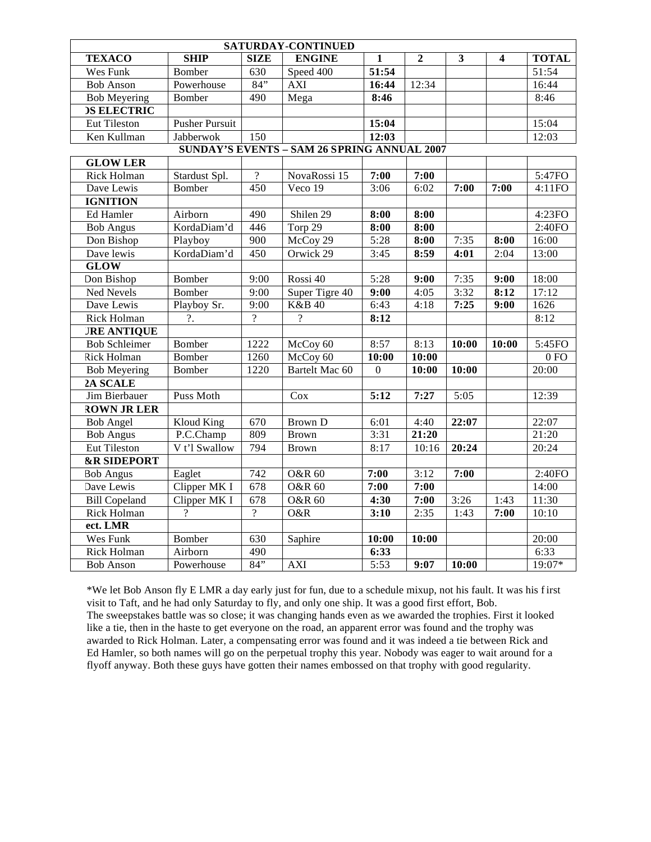| SATURDAY-CONTINUED                                 |                       |                  |                          |                   |              |       |       |              |  |  |  |
|----------------------------------------------------|-----------------------|------------------|--------------------------|-------------------|--------------|-------|-------|--------------|--|--|--|
| <b>TEXACO</b>                                      | <b>SHIP</b>           | <b>SIZE</b>      | <b>ENGINE</b>            | $\mathbf{1}$      | $\mathbf{2}$ | 3     | 4     | <b>TOTAL</b> |  |  |  |
| Wes Funk                                           | Bomber                | $\overline{630}$ | Speed 400                | 51:54             |              |       |       | 51:54        |  |  |  |
| <b>Bob Anson</b>                                   | Powerhouse            | $84$ "           | <b>AXI</b>               | 16:44             | 12:34        |       |       | 16:44        |  |  |  |
| <b>Bob Meyering</b>                                | Bomber                | 490              | Mega                     | 8:46              |              |       |       | 8:46         |  |  |  |
| <b>DS ELECTRIC</b>                                 |                       |                  |                          |                   |              |       |       |              |  |  |  |
| <b>Eut Tileston</b>                                | <b>Pusher Pursuit</b> |                  |                          | 15:04             |              |       |       | 15:04        |  |  |  |
| Ken Kullman                                        | Jabberwok             | 150              |                          | 12:03             |              |       |       | 12:03        |  |  |  |
| <b>SUNDAY'S EVENTS - SAM 26 SPRING ANNUAL 2007</b> |                       |                  |                          |                   |              |       |       |              |  |  |  |
| <b>GLOW LER</b>                                    |                       |                  |                          |                   |              |       |       |              |  |  |  |
| Rick Holman                                        | Stardust Spl.         | $\overline{?}$   | NovaRossi 15             | 7:00              | 7:00         |       |       | 5:47FO       |  |  |  |
| Dave Lewis                                         | Bomber                | 450              | Veco 19                  | 3:06              | 6:02         | 7:00  | 7:00  | 4:11FO       |  |  |  |
| <b>IGNITION</b>                                    |                       |                  |                          |                   |              |       |       |              |  |  |  |
| Ed Hamler                                          | Airborn               | 490              | Shilen 29                | 8:00              | 8:00         |       |       | 4:23FO       |  |  |  |
| <b>Bob Angus</b>                                   | KordaDiam'd           | 446              | Torp 29                  | 8:00              | 8:00         |       |       | 2:40FO       |  |  |  |
| Don Bishop                                         | Playboy               | 900              | McCoy 29                 | 5:28              | 8:00         | 7:35  | 8:00  | 16:00        |  |  |  |
| Dave lewis                                         | KordaDiam'd           | 450              | Orwick 29                | 3:45              | 8:59         | 4:01  | 2:04  | 13:00        |  |  |  |
| <b>GLOW</b>                                        |                       |                  |                          |                   |              |       |       |              |  |  |  |
| Don Bishop                                         | <b>Bomber</b>         | 9:00             | Rossi 40                 | 5:28              | 9:00         | 7:35  | 9:00  | 18:00        |  |  |  |
| <b>Ned Nevels</b>                                  | <b>Bomber</b>         | 9:00             | Super Tigre 40           | $\overline{9:00}$ | 4:05         | 3:32  | 8:12  | 17:12        |  |  |  |
| Dave Lewis                                         | Playboy Sr.           | 9:00             | <b>K&amp;B 40</b>        | 6:43              | 4:18         | 7:25  | 9:00  | 1626         |  |  |  |
| Rick Holman                                        | $\overline{?}$ .      | $\gamma$         | $\overline{\mathcal{L}}$ | 8:12              |              |       |       | 8:12         |  |  |  |
| <b>JRE ANTIQUE</b>                                 |                       |                  |                          |                   |              |       |       |              |  |  |  |
| <b>Bob Schleimer</b>                               | Bomber                | 1222             | McCoy 60                 | 8:57              | 8:13         | 10:00 | 10:00 | 5:45FO       |  |  |  |
| <b>Rick Holman</b>                                 | Bomber                | 1260             | McCoy 60                 | 10:00             | 10:00        |       |       | 0 FQ         |  |  |  |
| <b>Bob Meyering</b>                                | Bomber                | 1220             | Bartelt Mac 60           | $\Omega$          | 10:00        | 10:00 |       | 20:00        |  |  |  |
| 2A SCALE                                           |                       |                  |                          |                   |              |       |       |              |  |  |  |
| Jim Bierbauer                                      | Puss Moth             |                  | Cox                      | 5:12              | 7:27         | 5:05  |       | 12:39        |  |  |  |
| <b>ROWN JR LER</b>                                 |                       |                  |                          |                   |              |       |       |              |  |  |  |
| <b>Bob Angel</b>                                   | <b>Kloud King</b>     | 670              | <b>Brown D</b>           | 6:01              | 4:40         | 22:07 |       | 22:07        |  |  |  |
| <b>Bob Angus</b>                                   | P.C.Champ             | 809              | <b>Brown</b>             | 3:31              | 21:20        |       |       | 21:20        |  |  |  |
| <b>Eut Tileston</b>                                | V t'l Swallow         | 794              | <b>Brown</b>             | 8:17              | 10:16        | 20:24 |       | 20:24        |  |  |  |
| <b>&amp;R SIDEPORT</b>                             |                       |                  |                          |                   |              |       |       |              |  |  |  |
| <b>Bob Angus</b>                                   | Eaglet                | 742              | <b>O&amp;R 60</b>        | 7:00              | 3:12         | 7:00  |       | 2:40FO       |  |  |  |
| Dave Lewis                                         | Clipper MK I          | 678              | <b>O&amp;R 60</b>        | 7:00              | 7:00         |       |       | 14:00        |  |  |  |
| <b>Bill Copeland</b>                               | Clipper MK I          | 678              | <b>O&amp;R 60</b>        | 4:30              | 7:00         | 3:26  | 1:43  | 11:30        |  |  |  |
| Rick Holman                                        | $\overline{?}$        | $\overline{?}$   | O&R                      | 3:10              | 2:35         | 1:43  | 7:00  | 10:10        |  |  |  |
| ect. LMR                                           |                       |                  |                          |                   |              |       |       |              |  |  |  |
| Wes Funk                                           | Bomber                | 630              | Saphire                  | 10:00             | 10:00        |       |       | 20:00        |  |  |  |
| <b>Rick Holman</b>                                 | Airborn               | 490              |                          | 6:33              |              |       |       | 6:33         |  |  |  |
| <b>Bob Anson</b>                                   | Powerhouse            | 84"              | <b>AXI</b>               | 5:53              | 9:07         | 10:00 |       | 19:07*       |  |  |  |

\*We let Bob Anson fly E LMR a day early just for fun, due to a schedule mixup, not his fault. It was his f irst visit to Taft, and he had only Saturday to fly, and only one ship. It was a good first effort, Bob. The sweepstakes battle was so close; it was changing hands even as we awarded the trophies. First it looked like a tie, then in the haste to get everyone on the road, an apparent error was found and the trophy was awarded to Rick Holman. Later, a compensating error was found and it was indeed a tie between Rick and Ed Hamler, so both names will go on the perpetual trophy this year. Nobody was eager to wait around for a flyoff anyway. Both these guys have gotten their names embossed on that trophy with good regularity.